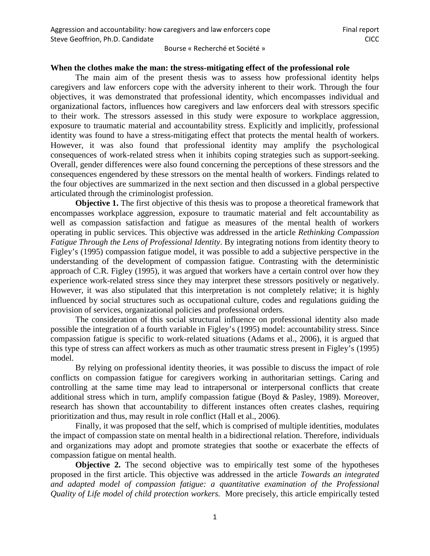# **When the clothes make the man: the stress-mitigating effect of the professional role**

The main aim of the present thesis was to assess how professional identity helps caregivers and law enforcers cope with the adversity inherent to their work. Through the four objectives, it was demonstrated that professional identity, which encompasses individual and organizational factors, influences how caregivers and law enforcers deal with stressors specific to their work. The stressors assessed in this study were exposure to workplace aggression, exposure to traumatic material and accountability stress. Explicitly and implicitly, professional identity was found to have a stress-mitigating effect that protects the mental health of workers. However, it was also found that professional identity may amplify the psychological consequences of work-related stress when it inhibits coping strategies such as support-seeking. Overall, gender differences were also found concerning the perceptions of these stressors and the consequences engendered by these stressors on the mental health of workers. Findings related to the four objectives are summarized in the next section and then discussed in a global perspective articulated through the criminologist profession.

**Objective 1.** The first objective of this thesis was to propose a theoretical framework that encompasses workplace aggression, exposure to traumatic material and felt accountability as well as compassion satisfaction and fatigue as measures of the mental health of workers operating in public services. This objective was addressed in the article *Rethinking Compassion Fatigue Through the Lens of Professional Identity*. By integrating notions from identity theory to Figley's (1995) compassion fatigue model, it was possible to add a subjective perspective in the understanding of the development of compassion fatigue. Contrasting with the deterministic approach of C.R. Figley (1995), it was argued that workers have a certain control over how they experience work-related stress since they may interpret these stressors positively or negatively. However, it was also stipulated that this interpretation is not completely relative; it is highly influenced by social structures such as occupational culture, codes and regulations guiding the provision of services, organizational policies and professional orders.

The consideration of this social structural influence on professional identity also made possible the integration of a fourth variable in Figley's (1995) model: accountability stress. Since compassion fatigue is specific to work-related situations (Adams et al., 2006), it is argued that this type of stress can affect workers as much as other traumatic stress present in Figley's (1995) model.

By relying on professional identity theories, it was possible to discuss the impact of role conflicts on compassion fatigue for caregivers working in authoritarian settings. Caring and controlling at the same time may lead to intrapersonal or interpersonal conflicts that create additional stress which in turn, amplify compassion fatigue (Boyd & Pasley, 1989). Moreover, research has shown that accountability to different instances often creates clashes, requiring prioritization and thus, may result in role conflict (Hall et al., 2006).

Finally, it was proposed that the self, which is comprised of multiple identities, modulates the impact of compassion state on mental health in a bidirectional relation. Therefore, individuals and organizations may adopt and promote strategies that soothe or exacerbate the effects of compassion fatigue on mental health.

**Objective 2.** The second objective was to empirically test some of the hypotheses proposed in the first article. This objective was addressed in the article *Towards an integrated and adapted model of compassion fatigue: a quantitative examination of the Professional Quality of Life model of child protection workers.* More precisely, this article empirically tested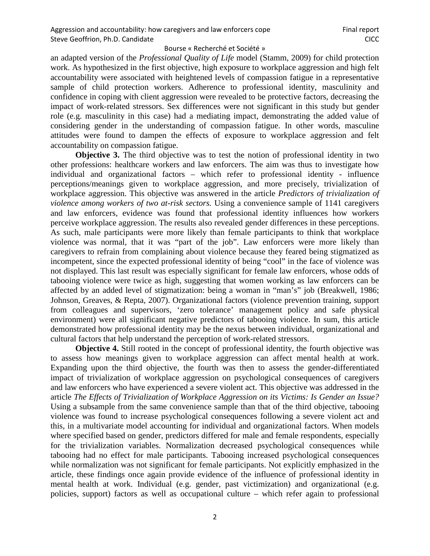an adapted version of the *Professional Quality of Life* model (Stamm, 2009) for child protection work. As hypothesized in the first objective, high exposure to workplace aggression and high felt accountability were associated with heightened levels of compassion fatigue in a representative sample of child protection workers. Adherence to professional identity, masculinity and confidence in coping with client aggression were revealed to be protective factors, decreasing the impact of work-related stressors. Sex differences were not significant in this study but gender role (e.g. masculinity in this case) had a mediating impact, demonstrating the added value of considering gender in the understanding of compassion fatigue. In other words, masculine attitudes were found to dampen the effects of exposure to workplace aggression and felt accountability on compassion fatigue.

**Objective 3.** The third objective was to test the notion of professional identity in two other professions: healthcare workers and law enforcers. The aim was thus to investigate how individual and organizational factors – which refer to professional identity - influence perceptions/meanings given to workplace aggression, and more precisely, trivialization of workplace aggression. This objective was answered in the article *Predictors of trivialization of violence among workers of two at-risk sectors.* Using a convenience sample of 1141 caregivers and law enforcers, evidence was found that professional identity influences how workers perceive workplace aggression. The results also revealed gender differences in these perceptions. As such, male participants were more likely than female participants to think that workplace violence was normal, that it was "part of the job". Law enforcers were more likely than caregivers to refrain from complaining about violence because they feared being stigmatized as incompetent, since the expected professional identity of being "cool" in the face of violence was not displayed. This last result was especially significant for female law enforcers, whose odds of tabooing violence were twice as high, suggesting that women working as law enforcers can be affected by an added level of stigmatization: being a woman in "man's" job (Breakwell, 1986; Johnson, Greaves, & Repta, 2007). Organizational factors (violence prevention training, support from colleagues and supervisors, 'zero tolerance' management policy and safe physical environment) were all significant negative predictors of tabooing violence. In sum, this article demonstrated how professional identity may be the nexus between individual, organizational and cultural factors that help understand the perception of work-related stressors.

**Objective 4.** Still rooted in the concept of professional identity, the fourth objective was to assess how meanings given to workplace aggression can affect mental health at work. Expanding upon the third objective, the fourth was then to assess the gender-differentiated impact of trivialization of workplace aggression on psychological consequences of caregivers and law enforcers who have experienced a severe violent act. This objective was addressed in the article *The Effects of Trivialization of Workplace Aggression on its Victims: Is Gender an Issue?*  Using a subsample from the same convenience sample than that of the third objective, tabooing violence was found to increase psychological consequences following a severe violent act and this, in a multivariate model accounting for individual and organizational factors. When models where specified based on gender, predictors differed for male and female respondents, especially for the trivialization variables. Normalization decreased psychological consequences while tabooing had no effect for male participants. Tabooing increased psychological consequences while normalization was not significant for female participants. Not explicitly emphasized in the article, these findings once again provide evidence of the influence of professional identity in mental health at work. Individual (e.g. gender, past victimization) and organizational (e.g. policies, support) factors as well as occupational culture – which refer again to professional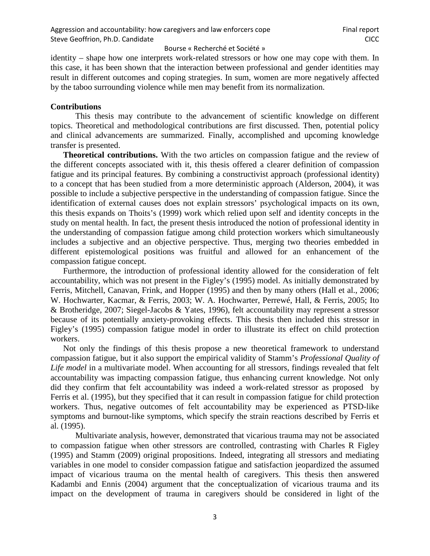identity – shape how one interprets work-related stressors or how one may cope with them. In this case, it has been shown that the interaction between professional and gender identities may result in different outcomes and coping strategies. In sum, women are more negatively affected by the taboo surrounding violence while men may benefit from its normalization.

# **Contributions**

This thesis may contribute to the advancement of scientific knowledge on different topics. Theoretical and methodological contributions are first discussed. Then, potential policy and clinical advancements are summarized. Finally, accomplished and upcoming knowledge transfer is presented.

**Theoretical contributions.** With the two articles on compassion fatigue and the review of the different concepts associated with it, this thesis offered a clearer definition of compassion fatigue and its principal features. By combining a constructivist approach (professional identity) to a concept that has been studied from a more deterministic approach (Alderson, 2004), it was possible to include a subjective perspective in the understanding of compassion fatigue. Since the identification of external causes does not explain stressors' psychological impacts on its own, this thesis expands on Thoits's (1999) work which relied upon self and identity concepts in the study on mental health. In fact, the present thesis introduced the notion of professional identity in the understanding of compassion fatigue among child protection workers which simultaneously includes a subjective and an objective perspective. Thus, merging two theories embedded in different epistemological positions was fruitful and allowed for an enhancement of the compassion fatigue concept.

Furthermore, the introduction of professional identity allowed for the consideration of felt accountability, which was not present in the Figley's (1995) model. As initially demonstrated by Ferris, Mitchell, Canavan, Frink, and Hopper (1995) and then by many others (Hall et al., 2006; W. Hochwarter, Kacmar, & Ferris, 2003; W. A. Hochwarter, Perrewé, Hall, & Ferris, 2005; Ito & Brotheridge, 2007; Siegel-Jacobs & Yates, 1996), felt accountability may represent a stressor because of its potentially anxiety-provoking effects. This thesis then included this stressor in Figley's (1995) compassion fatigue model in order to illustrate its effect on child protection workers.

Not only the findings of this thesis propose a new theoretical framework to understand compassion fatigue, but it also support the empirical validity of Stamm's *Professional Quality of Life model* in a multivariate model. When accounting for all stressors, findings revealed that felt accountability was impacting compassion fatigue, thus enhancing current knowledge. Not only did they confirm that felt accountability was indeed a work-related stressor as proposed by Ferris et al. (1995), but they specified that it can result in compassion fatigue for child protection workers. Thus, negative outcomes of felt accountability may be experienced as PTSD-like symptoms and burnout-like symptoms, which specify the strain reactions described by Ferris et al. (1995).

Multivariate analysis, however, demonstrated that vicarious trauma may not be associated to compassion fatigue when other stressors are controlled, contrasting with Charles R Figley (1995) and Stamm (2009) original propositions. Indeed, integrating all stressors and mediating variables in one model to consider compassion fatigue and satisfaction jeopardized the assumed impact of vicarious trauma on the mental health of caregivers. This thesis then answered Kadambi and Ennis (2004) argument that the conceptualization of vicarious trauma and its impact on the development of trauma in caregivers should be considered in light of the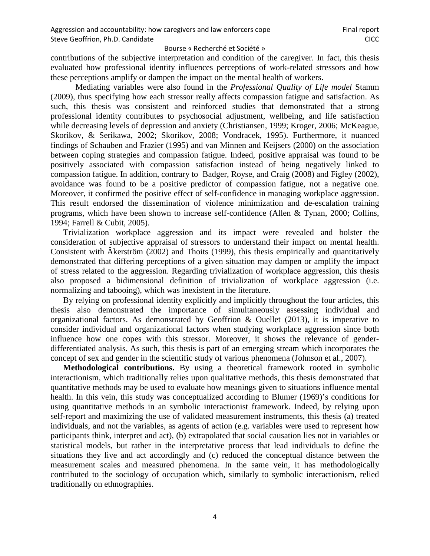contributions of the subjective interpretation and condition of the caregiver. In fact, this thesis evaluated how professional identity influences perceptions of work-related stressors and how these perceptions amplify or dampen the impact on the mental health of workers.

Mediating variables were also found in the *Professional Quality of Life model* Stamm (2009)*,* thus specifying how each stressor really affects compassion fatigue and satisfaction. As such, this thesis was consistent and reinforced studies that demonstrated that a strong professional identity contributes to psychosocial adjustment, wellbeing, and life satisfaction while decreasing levels of depression and anxiety (Christiansen, 1999; Kroger, 2006; McKeague, Skorikov, & Serikawa, 2002; Skorikov, 2008; Vondracek, 1995). Furthermore, it nuanced findings of Schauben and Frazier (1995) and van Minnen and Keijsers (2000) on the association between coping strategies and compassion fatigue. Indeed, positive appraisal was found to be positively associated with compassion satisfaction instead of being negatively linked to compassion fatigue. In addition, contrary to Badger, Royse, and Craig (2008) and Figley (2002), avoidance was found to be a positive predictor of compassion fatigue, not a negative one. Moreover, it confirmed the positive effect of self-confidence in managing workplace aggression. This result endorsed the dissemination of violence minimization and de-escalation training programs, which have been shown to increase self-confidence (Allen & Tynan, 2000; Collins, 1994; Farrell & Cubit, 2005).

Trivialization workplace aggression and its impact were revealed and bolster the consideration of subjective appraisal of stressors to understand their impact on mental health. Consistent with Âkerström (2002) and Thoits (1999), this thesis empirically and quantitatively demonstrated that differing perceptions of a given situation may dampen or amplify the impact of stress related to the aggression. Regarding trivialization of workplace aggression, this thesis also proposed a bidimensional definition of trivialization of workplace aggression (i.e. normalizing and tabooing), which was inexistent in the literature.

By relying on professional identity explicitly and implicitly throughout the four articles, this thesis also demonstrated the importance of simultaneously assessing individual and organizational factors. As demonstrated by Geoffrion & Ouellet (2013), it is imperative to consider individual and organizational factors when studying workplace aggression since both influence how one copes with this stressor. Moreover, it shows the relevance of genderdifferentiated analysis. As such, this thesis is part of an emerging stream which incorporates the concept of sex and gender in the scientific study of various phenomena (Johnson et al., 2007).

**Methodological contributions.** By using a theoretical framework rooted in symbolic interactionism, which traditionally relies upon qualitative methods, this thesis demonstrated that quantitative methods may be used to evaluate how meanings given to situations influence mental health. In this vein, this study was conceptualized according to Blumer (1969)'s conditions for using quantitative methods in an symbolic interactionist framework. Indeed, by relying upon self-report and maximizing the use of validated measurement instruments, this thesis (a) treated individuals, and not the variables, as agents of action (e.g. variables were used to represent how participants think, interpret and act), (b) extrapolated that social causation lies not in variables or statistical models, but rather in the interpretative process that lead individuals to define the situations they live and act accordingly and (c) reduced the conceptual distance between the measurement scales and measured phenomena. In the same vein, it has methodologically contributed to the sociology of occupation which, similarly to symbolic interactionism, relied traditionally on ethnographies.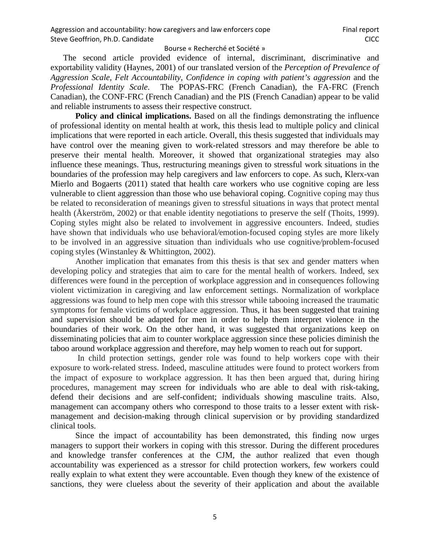The second article provided evidence of internal, discriminant, discriminative and exportability validity (Haynes, 2001) of our translated version of the *Perception of Prevalence of Aggression Scale, Felt Accountability, Confidence in coping with patient's aggression* and the *Professional Identity Scale*.The POPAS-FRC (French Canadian), the FA-FRC (French Canadian), the CONF-FRC (French Canadian) and the PIS (French Canadian) appear to be valid and reliable instruments to assess their respective construct.

Policy and clinical implications. Based on all the findings demonstrating the influence of professional identity on mental health at work, this thesis lead to multiple policy and clinical implications that were reported in each article. Overall, this thesis suggested that individuals may have control over the meaning given to work-related stressors and may therefore be able to preserve their mental health. Moreover, it showed that organizational strategies may also influence these meanings. Thus, restructuring meanings given to stressful work situations in the boundaries of the profession may help caregivers and law enforcers to cope. As such, Klerx-van Mierlo and Bogaerts (2011) stated that health care workers who use cognitive coping are less vulnerable to client aggression than those who use behavioral coping. Cognitive coping may thus be related to reconsideration of meanings given to stressful situations in ways that protect mental health (Åkerström, 2002) or that enable identity negotiations to preserve the self (Thoits, 1999). Coping styles might also be related to involvement in aggressive encounters. Indeed, studies have shown that individuals who use behavioral*/*emotion-focused coping styles are more likely to be involved in an aggressive situation than individuals who use cognitive*/*problem-focused coping styles (Winstanley & Whittington, 2002).

Another implication that emanates from this thesis is that sex and gender matters when developing policy and strategies that aim to care for the mental health of workers. Indeed, sex differences were found in the perception of workplace aggression and in consequences following violent victimization in caregiving and law enforcement settings. Normalization of workplace aggressions was found to help men cope with this stressor while tabooing increased the traumatic symptoms for female victims of workplace aggression. Thus, it has been suggested that training and supervision should be adapted for men in order to help them interpret violence in the boundaries of their work. On the other hand, it was suggested that organizations keep on disseminating policies that aim to counter workplace aggression since these policies diminish the taboo around workplace aggression and therefore, may help women to reach out for support.

In child protection settings, gender role was found to help workers cope with their exposure to work-related stress. Indeed, masculine attitudes were found to protect workers from the impact of exposure to workplace aggression. It has then been argued that, during hiring procedures, management may screen for individuals who are able to deal with risk-taking, defend their decisions and are self-confident; individuals showing masculine traits. Also, management can accompany others who correspond to those traits to a lesser extent with riskmanagement and decision-making through clinical supervision or by providing standardized clinical tools.

Since the impact of accountability has been demonstrated, this finding now urges managers to support their workers in coping with this stressor. During the different procedures and knowledge transfer conferences at the CJM, the author realized that even though accountability was experienced as a stressor for child protection workers, few workers could really explain to what extent they were accountable. Even though they knew of the existence of sanctions, they were clueless about the severity of their application and about the available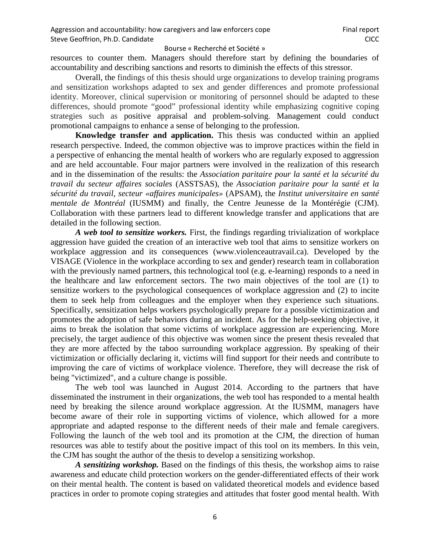resources to counter them. Managers should therefore start by defining the boundaries of accountability and describing sanctions and resorts to diminish the effects of this stressor.

Overall, the findings of this thesis should urge organizations to develop training programs and sensitization workshops adapted to sex and gender differences and promote professional identity. Moreover, clinical supervision or monitoring of personnel should be adapted to these differences, should promote "good" professional identity while emphasizing cognitive coping strategies such as positive appraisal and problem-solving. Management could conduct promotional campaigns to enhance a sense of belonging to the profession.

**Knowledge transfer and application.** This thesis was conducted within an applied research perspective. Indeed, the common objective was to improve practices within the field in a perspective of enhancing the mental health of workers who are regularly exposed to aggression and are held accountable. Four major partners were involved in the realization of this research and in the dissemination of the results: the *Association paritaire pour la santé et la sécurité du travail du secteur affaires sociales* (ASSTSAS), the *Association paritaire pour la santé et la sécurité du travail, secteur «affaires municipales»* (APSAM), the *Institut universitaire en santé mentale de Montréal* (IUSMM) and finally, the Centre Jeunesse de la Montérégie (CJM). Collaboration with these partners lead to different knowledge transfer and applications that are detailed in the following section.

*A web tool to sensitize workers.* First, the findings regarding trivialization of workplace aggression have guided the creation of an interactive web tool that aims to sensitize workers on workplace aggression and its consequences (www.violenceautravail.ca). Developed by the VISAGE (Violence in the workplace according to sex and gender) research team in collaboration with the previously named partners, this technological tool (e.g. e-learning) responds to a need in the healthcare and law enforcement sectors. The two main objectives of the tool are (1) to sensitize workers to the psychological consequences of workplace aggression and (2) to incite them to seek help from colleagues and the employer when they experience such situations. Specifically, sensitization helps workers psychologically prepare for a possible victimization and promotes the adoption of safe behaviors during an incident. As for the help-seeking objective, it aims to break the isolation that some victims of workplace aggression are experiencing. More precisely, the target audience of this objective was women since the present thesis revealed that they are more affected by the taboo surrounding workplace aggression. By speaking of their victimization or officially declaring it, victims will find support for their needs and contribute to improving the care of victims of workplace violence. Therefore, they will decrease the risk of being "victimized", and a culture change is possible.

The web tool was launched in August 2014. According to the partners that have disseminated the instrument in their organizations, the web tool has responded to a mental health need by breaking the silence around workplace aggression. At the IUSMM, managers have become aware of their role in supporting victims of violence, which allowed for a more appropriate and adapted response to the different needs of their male and female caregivers. Following the launch of the web tool and its promotion at the CJM, the direction of human resources was able to testify about the positive impact of this tool on its members. In this vein, the CJM has sought the author of the thesis to develop a sensitizing workshop.

*A sensitizing workshop.* Based on the findings of this thesis, the workshop aims to raise awareness and educate child protection workers on the gender-differentiated effects of their work on their mental health. The content is based on validated theoretical models and evidence based practices in order to promote coping strategies and attitudes that foster good mental health. With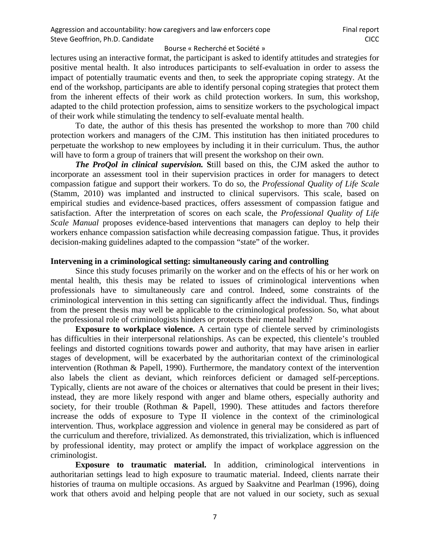lectures using an interactive format, the participant is asked to identify attitudes and strategies for positive mental health. It also introduces participants to self-evaluation in order to assess the impact of potentially traumatic events and then, to seek the appropriate coping strategy. At the end of the workshop, participants are able to identify personal coping strategies that protect them from the inherent effects of their work as child protection workers. In sum, this workshop, adapted to the child protection profession, aims to sensitize workers to the psychological impact of their work while stimulating the tendency to self-evaluate mental health.

To date, the author of this thesis has presented the workshop to more than 700 child protection workers and managers of the CJM. This institution has then initiated procedures to perpetuate the workshop to new employees by including it in their curriculum. Thus, the author will have to form a group of trainers that will present the workshop on their own.

*The ProQol in clinical supervision.* **S**till based on this, the CJM asked the author to incorporate an assessment tool in their supervision practices in order for managers to detect compassion fatigue and support their workers. To do so, the *Professional Quality of Life Scale*  (Stamm, 2010) was implanted and instructed to clinical supervisors. This scale, based on empirical studies and evidence-based practices, offers assessment of compassion fatigue and satisfaction. After the interpretation of scores on each scale, the *Professional Quality of Life Scale Manual* proposes evidence-based interventions that managers can deploy to help their workers enhance compassion satisfaction while decreasing compassion fatigue. Thus, it provides decision-making guidelines adapted to the compassion "state" of the worker.

# **Intervening in a criminological setting: simultaneously caring and controlling**

Since this study focuses primarily on the worker and on the effects of his or her work on mental health, this thesis may be related to issues of criminological interventions when professionals have to simultaneously care and control. Indeed, some constraints of the criminological intervention in this setting can significantly affect the individual. Thus, findings from the present thesis may well be applicable to the criminological profession. So, what about the professional role of criminologists hinders or protects their mental health?

**Exposure to workplace violence.** A certain type of clientele served by criminologists has difficulties in their interpersonal relationships. As can be expected, this clientele's troubled feelings and distorted cognitions towards power and authority, that may have arisen in earlier stages of development, will be exacerbated by the authoritarian context of the criminological intervention (Rothman & Papell, 1990). Furthermore, the mandatory context of the intervention also labels the client as deviant, which reinforces deficient or damaged self-perceptions. Typically, clients are not aware of the choices or alternatives that could be present in their lives; instead, they are more likely respond with anger and blame others, especially authority and society, for their trouble (Rothman & Papell, 1990). These attitudes and factors therefore increase the odds of exposure to Type II violence in the context of the criminological intervention. Thus, workplace aggression and violence in general may be considered as part of the curriculum and therefore, trivialized. As demonstrated, this trivialization, which is influenced by professional identity, may protect or amplify the impact of workplace aggression on the criminologist.

**Exposure to traumatic material.** In addition, criminological interventions in authoritarian settings lead to high exposure to traumatic material. Indeed, clients narrate their histories of trauma on multiple occasions. As argued by Saakvitne and Pearlman (1996), doing work that others avoid and helping people that are not valued in our society, such as sexual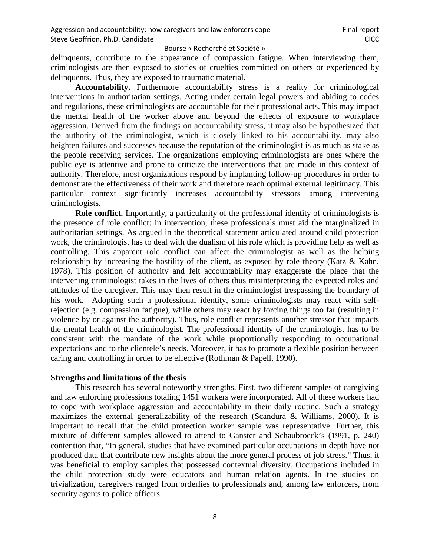delinquents, contribute to the appearance of compassion fatigue. When interviewing them, criminologists are then exposed to stories of cruelties committed on others or experienced by delinquents. Thus, they are exposed to traumatic material.

**Accountability.** Furthermore accountability stress is a reality for criminological interventions in authoritarian settings. Acting under certain legal powers and abiding to codes and regulations, these criminologists are accountable for their professional acts. This may impact the mental health of the worker above and beyond the effects of exposure to workplace aggression. Derived from the findings on accountability stress, it may also be hypothesized that the authority of the criminologist, which is closely linked to his accountability, may also heighten failures and successes because the reputation of the criminologist is as much as stake as the people receiving services. The organizations employing criminologists are ones where the public eye is attentive and prone to criticize the interventions that are made in this context of authority. Therefore, most organizations respond by implanting follow-up procedures in order to demonstrate the effectiveness of their work and therefore reach optimal external legitimacy. This particular context significantly increases accountability stressors among intervening criminologists.

**Role conflict.** Importantly, a particularity of the professional identity of criminologists is the presence of role conflict: in intervention, these professionals must aid the marginalized in authoritarian settings. As argued in the theoretical statement articulated around child protection work, the criminologist has to deal with the dualism of his role which is providing help as well as controlling. This apparent role conflict can affect the criminologist as well as the helping relationship by increasing the hostility of the client, as exposed by role theory (Katz & Kahn, 1978). This position of authority and felt accountability may exaggerate the place that the intervening criminologist takes in the lives of others thus misinterpreting the expected roles and attitudes of the caregiver. This may then result in the criminologist trespassing the boundary of his work. Adopting such a professional identity, some criminologists may react with selfrejection (e.g. compassion fatigue), while others may react by forcing things too far (resulting in violence by or against the authority). Thus, role conflict represents another stressor that impacts the mental health of the criminologist. The professional identity of the criminologist has to be consistent with the mandate of the work while proportionally responding to occupational expectations and to the clientele's needs. Moreover, it has to promote a flexible position between caring and controlling in order to be effective (Rothman & Papell, 1990).

# **Strengths and limitations of the thesis**

This research has several noteworthy strengths. First, two different samples of caregiving and law enforcing professions totaling 1451 workers were incorporated. All of these workers had to cope with workplace aggression and accountability in their daily routine. Such a strategy maximizes the external generalizability of the research (Scandura & Williams, 2000). It is important to recall that the child protection worker sample was representative. Further, this mixture of different samples allowed to attend to Ganster and Schaubroeck's (1991, p. 240) contention that, "In general, studies that have examined particular occupations in depth have not produced data that contribute new insights about the more general process of job stress." Thus, it was beneficial to employ samples that possessed contextual diversity. Occupations included in the child protection study were educators and human relation agents. In the studies on trivialization, caregivers ranged from orderlies to professionals and, among law enforcers, from security agents to police officers.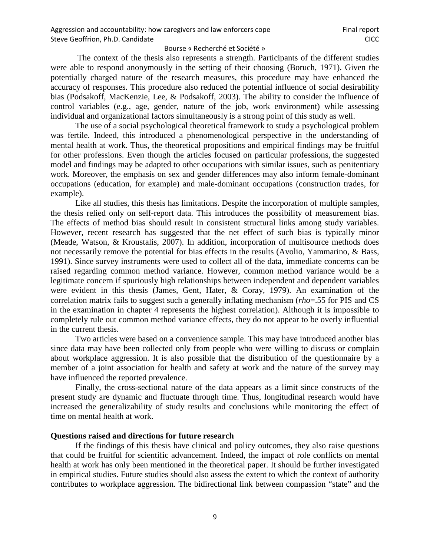The context of the thesis also represents a strength. Participants of the different studies were able to respond anonymously in the setting of their choosing (Boruch, 1971). Given the potentially charged nature of the research measures, this procedure may have enhanced the accuracy of responses. This procedure also reduced the potential influence of social desirability bias (Podsakoff, MacKenzie, Lee, & Podsakoff, 2003). The ability to consider the influence of control variables (e.g., age, gender, nature of the job, work environment) while assessing individual and organizational factors simultaneously is a strong point of this study as well.

The use of a social psychological theoretical framework to study a psychological problem was fertile. Indeed, this introduced a phenomenological perspective in the understanding of mental health at work. Thus, the theoretical propositions and empirical findings may be fruitful for other professions. Even though the articles focused on particular professions, the suggested model and findings may be adapted to other occupations with similar issues, such as penitentiary work. Moreover, the emphasis on sex and gender differences may also inform female-dominant occupations (education, for example) and male-dominant occupations (construction trades, for example).

Like all studies, this thesis has limitations. Despite the incorporation of multiple samples, the thesis relied only on self-report data. This introduces the possibility of measurement bias. The effects of method bias should result in consistent structural links among study variables. However, recent research has suggested that the net effect of such bias is typically minor (Meade, Watson, & Kroustalis, 2007). In addition, incorporation of multisource methods does not necessarily remove the potential for bias effects in the results (Avolio, Yammarino, & Bass, 1991). Since survey instruments were used to collect all of the data, immediate concerns can be raised regarding common method variance. However, common method variance would be a legitimate concern if spuriously high relationships between independent and dependent variables were evident in this thesis (James, Gent, Hater, & Coray, 1979). An examination of the correlation matrix fails to suggest such a generally inflating mechanism (*rho*=.55 for PIS and CS in the examination in chapter 4 represents the highest correlation). Although it is impossible to completely rule out common method variance effects, they do not appear to be overly influential in the current thesis.

Two articles were based on a convenience sample. This may have introduced another bias since data may have been collected only from people who were willing to discuss or complain about workplace aggression. It is also possible that the distribution of the questionnaire by a member of a joint association for health and safety at work and the nature of the survey may have influenced the reported prevalence.

Finally, the cross-sectional nature of the data appears as a limit since constructs of the present study are dynamic and fluctuate through time. Thus, longitudinal research would have increased the generalizability of study results and conclusions while monitoring the effect of time on mental health at work.

# **Questions raised and directions for future research**

If the findings of this thesis have clinical and policy outcomes, they also raise questions that could be fruitful for scientific advancement. Indeed, the impact of role conflicts on mental health at work has only been mentioned in the theoretical paper. It should be further investigated in empirical studies. Future studies should also assess the extent to which the context of authority contributes to workplace aggression. The bidirectional link between compassion "state" and the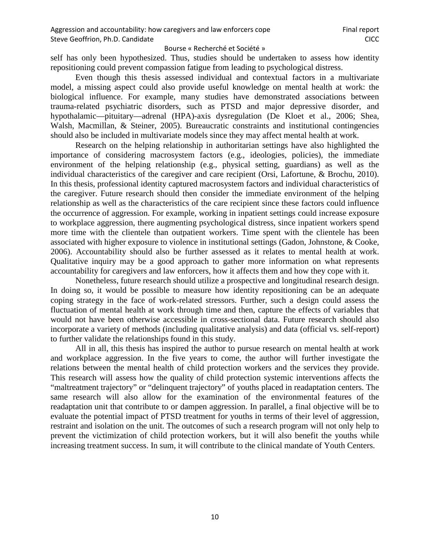self has only been hypothesized. Thus, studies should be undertaken to assess how identity repositioning could prevent compassion fatigue from leading to psychological distress.

Even though this thesis assessed individual and contextual factors in a multivariate model, a missing aspect could also provide useful knowledge on mental health at work: the biological influence. For example, many studies have demonstrated associations between trauma-related psychiatric disorders, such as PTSD and major depressive disorder, and hypothalamic—pituitary—adrenal (HPA)-axis dysregulation (De Kloet et al., 2006; Shea, Walsh, Macmillan, & Steiner, 2005). Bureaucratic constraints and institutional contingencies should also be included in multivariate models since they may affect mental health at work.

Research on the helping relationship in authoritarian settings have also highlighted the importance of considering macrosystem factors (e.g., ideologies, policies), the immediate environment of the helping relationship (e.g., physical setting, guardians) as well as the individual characteristics of the caregiver and care recipient (Orsi, Lafortune, & Brochu, 2010). In this thesis, professional identity captured macrosystem factors and individual characteristics of the caregiver. Future research should then consider the immediate environment of the helping relationship as well as the characteristics of the care recipient since these factors could influence the occurrence of aggression. For example, working in inpatient settings could increase exposure to workplace aggression, there augmenting psychological distress, since inpatient workers spend more time with the clientele than outpatient workers. Time spent with the clientele has been associated with higher exposure to violence in institutional settings (Gadon, Johnstone, & Cooke, 2006). Accountability should also be further assessed as it relates to mental health at work. Qualitative inquiry may be a good approach to gather more information on what represents accountability for caregivers and law enforcers, how it affects them and how they cope with it.

Nonetheless, future research should utilize a prospective and longitudinal research design. In doing so, it would be possible to measure how identity repositioning can be an adequate coping strategy in the face of work-related stressors. Further, such a design could assess the fluctuation of mental health at work through time and then, capture the effects of variables that would not have been otherwise accessible in cross-sectional data. Future research should also incorporate a variety of methods (including qualitative analysis) and data (official vs. self-report) to further validate the relationships found in this study.

All in all, this thesis has inspired the author to pursue research on mental health at work and workplace aggression. In the five years to come, the author will further investigate the relations between the mental health of child protection workers and the services they provide. This research will assess how the quality of child protection systemic interventions affects the "maltreatment trajectory" or "delinquent trajectory" of youths placed in readaptation centers. The same research will also allow for the examination of the environmental features of the readaptation unit that contribute to or dampen aggression. In parallel, a final objective will be to evaluate the potential impact of PTSD treatment for youths in terms of their level of aggression, restraint and isolation on the unit. The outcomes of such a research program will not only help to prevent the victimization of child protection workers, but it will also benefit the youths while increasing treatment success. In sum, it will contribute to the clinical mandate of Youth Centers.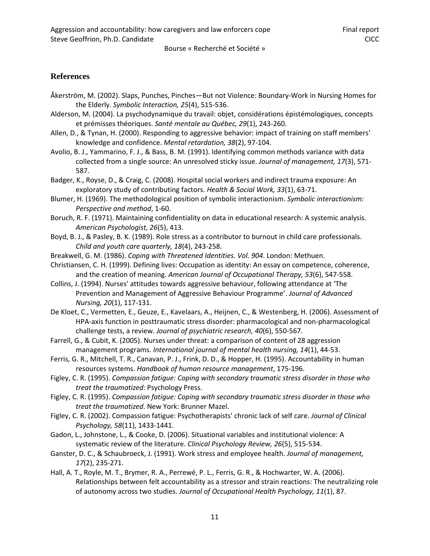# **References**

- Åkerström, M. (2002). Slaps, Punches, Pinches—But not Violence: Boundary‐Work in Nursing Homes for the Elderly. *Symbolic Interaction, 25*(4), 515-536.
- Alderson, M. (2004). La psychodynamique du travail: objet, considérations épistémologiques, concepts et prémisses théoriques. *Santé mentale au Québec, 29*(1), 243-260.
- Allen, D., & Tynan, H. (2000). Responding to aggressive behavior: impact of training on staff members' knowledge and confidence. *Mental retardation, 38*(2), 97-104.
- Avolio, B. J., Yammarino, F. J., & Bass, B. M. (1991). Identifying common methods variance with data collected from a single source: An unresolved sticky issue. *Journal of management, 17*(3), 571-587.
- Badger, K., Royse, D., & Craig, C. (2008). Hospital social workers and indirect trauma exposure: An exploratory study of contributing factors. *Health & Social Work, 33*(1), 63-71.
- Blumer, H. (1969). The methodological position of symbolic interactionism. *Symbolic interactionism: Perspective and method*, 1-60.
- Boruch, R. F. (1971). Maintaining confidentiality on data in educational research: A systemic analysis. *American Psychologist, 26*(5), 413.
- Boyd, B. J., & Pasley, B. K. (1989). Role stress as a contributor to burnout in child care professionals. *Child and youth care quarterly, 18*(4), 243-258.
- Breakwell, G. M. (1986). *Coping with Threatened Identities. Vol. 904*. London: Methuen.
- Christiansen, C. H. (1999). Defining lives: Occupation as identity: An essay on competence, coherence, and the creation of meaning. *American Journal of Occupational Therapy, 53*(6), 547-558.
- Collins, J. (1994). Nurses' attitudes towards aggressive behaviour, following attendance at 'The Prevention and Management of Aggressive Behaviour Programme'. *Journal of Advanced Nursing, 20*(1), 117-131.
- De Kloet, C., Vermetten, E., Geuze, E., Kavelaars, A., Heijnen, C., & Westenberg, H. (2006). Assessment of HPA-axis function in posttraumatic stress disorder: pharmacological and non-pharmacological challenge tests, a review. *Journal of psychiatric research, 40*(6), 550-567.
- Farrell, G., & Cubit, K. (2005). Nurses under threat: a comparison of content of 28 aggression management programs. *International journal of mental health nursing, 14*(1), 44-53.
- Ferris, G. R., Mitchell, T. R., Canavan, P. J., Frink, D. D., & Hopper, H. (1995). Accountability in human resources systems. *Handbook of human resource management*, 175-196.
- Figley, C. R. (1995). *Compassion fatigue: Coping with secondary traumatic stress disorder in those who treat the traumatized*: Psychology Press.
- Figley, C. R. (1995). *Compassion fatigue: Coping with secondary traumatic stress disorder in those who treat the traumatized*. New York: Brunner Mazel.
- Figley, C. R. (2002). Compassion fatigue: Psychotherapists' chronic lack of self care. *Journal of Clinical Psychology, 58*(11), 1433-1441.
- Gadon, L., Johnstone, L., & Cooke, D. (2006). Situational variables and institutional violence: A systematic review of the literature. *Clinical Psychology Review, 26*(5), 515-534.
- Ganster, D. C., & Schaubroeck, J. (1991). Work stress and employee health. *Journal of management, 17*(2), 235-271.
- Hall, A. T., Royle, M. T., Brymer, R. A., Perrewé, P. L., Ferris, G. R., & Hochwarter, W. A. (2006). Relationships between felt accountability as a stressor and strain reactions: The neutralizing role of autonomy across two studies. *Journal of Occupational Health Psychology, 11*(1), 87.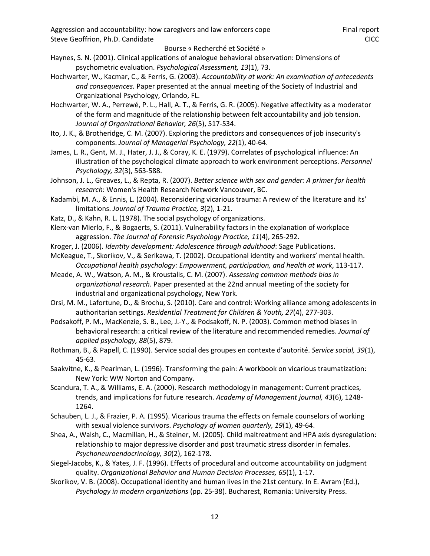- Haynes, S. N. (2001). Clinical applications of analogue behavioral observation: Dimensions of psychometric evaluation. *Psychological Assessment, 13*(1), 73.
- Hochwarter, W., Kacmar, C., & Ferris, G. (2003). *Accountability at work: An examination of antecedents and consequences.* Paper presented at the annual meeting of the Society of Industrial and Organizational Psychology, Orlando, FL.
- Hochwarter, W. A., Perrewé, P. L., Hall, A. T., & Ferris, G. R. (2005). Negative affectivity as a moderator of the form and magnitude of the relationship between felt accountability and job tension. *Journal of Organizational Behavior, 26*(5), 517-534.
- Ito, J. K., & Brotheridge, C. M. (2007). Exploring the predictors and consequences of job insecurity's components. *Journal of Managerial Psychology, 22*(1), 40-64.
- James, L. R., Gent, M. J., Hater, J. J., & Coray, K. E. (1979). Correlates of psychological influence: An illustration of the psychological climate approach to work environment perceptions. *Personnel Psychology, 32*(3), 563-588.
- Johnson, J. L., Greaves, L., & Repta, R. (2007). *Better science with sex and gender: A primer for health research*: Women's Health Research Network Vancouver, BC.
- Kadambi, M. A., & Ennis, L. (2004). Reconsidering vicarious trauma: A review of the literature and its' limitations. *Journal of Trauma Practice, 3*(2), 1-21.
- Katz, D., & Kahn, R. L. (1978). The social psychology of organizations.
- Klerx-van Mierlo, F., & Bogaerts, S. (2011). Vulnerability factors in the explanation of workplace aggression. *The Journal of Forensic Psychology Practice, 11*(4), 265-292.
- Kroger, J. (2006). *Identity development: Adolescence through adulthood*: Sage Publications.
- McKeague, T., Skorikov, V., & Serikawa, T. (2002). Occupational identity and workers' mental health. *Occupational health psychology: Empowerment, participation, and health at work*, 113-117.
- Meade, A. W., Watson, A. M., & Kroustalis, C. M. (2007). *Assessing common methods bias in organizational research.* Paper presented at the 22nd annual meeting of the society for industrial and organizational psychology, New York.
- Orsi, M. M., Lafortune, D., & Brochu, S. (2010). Care and control: Working alliance among adolescents in authoritarian settings. *Residential Treatment for Children & Youth, 27*(4), 277-303.
- Podsakoff, P. M., MacKenzie, S. B., Lee, J.-Y., & Podsakoff, N. P. (2003). Common method biases in behavioral research: a critical review of the literature and recommended remedies. *Journal of applied psychology, 88*(5), 879.
- Rothman, B., & Papell, C. (1990). Service social des groupes en contexte d'autorité. *Service social, 39*(1), 45-63.
- Saakvitne, K., & Pearlman, L. (1996). Transforming the pain: A workbook on vicarious traumatization: New York: WW Norton and Company.
- Scandura, T. A., & Williams, E. A. (2000). Research methodology in management: Current practices, trends, and implications for future research. *Academy of Management journal, 43*(6), 1248-1264.
- Schauben, L. J., & Frazier, P. A. (1995). Vicarious trauma the effects on female counselors of working with sexual violence survivors. *Psychology of women quarterly, 19*(1), 49-64.
- Shea, A., Walsh, C., Macmillan, H., & Steiner, M. (2005). Child maltreatment and HPA axis dysregulation: relationship to major depressive disorder and post traumatic stress disorder in females. *Psychoneuroendocrinology, 30*(2), 162-178.
- Siegel-Jacobs, K., & Yates, J. F. (1996). Effects of procedural and outcome accountability on judgment quality. *Organizational Behavior and Human Decision Processes, 65*(1), 1-17.
- Skorikov, V. B. (2008). Occupational identity and human lives in the 21st century. In E. Avram (Ed.), *Psychology in modern organizations* (pp. 25-38). Bucharest, Romania: University Press.